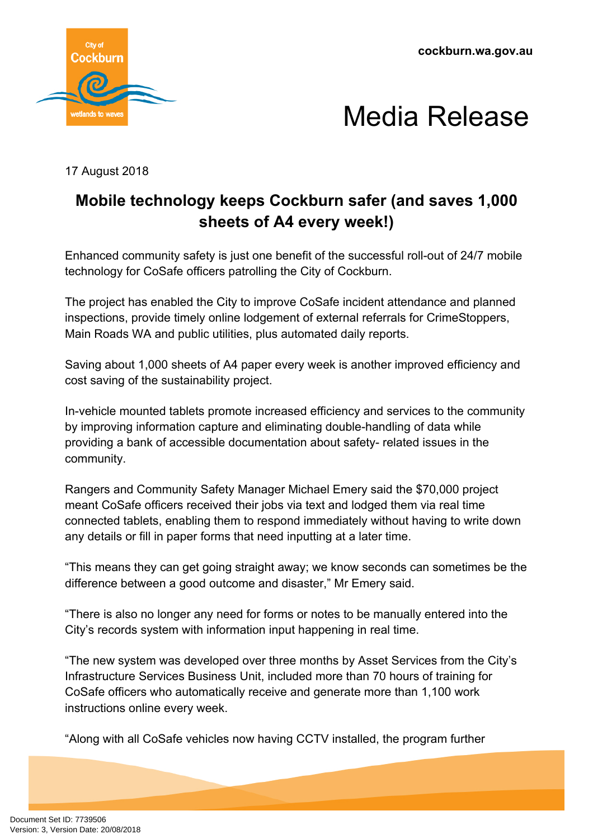**cockburn.wa.gov.au**





17 August 2018

## **Mobile technology keeps Cockburn safer (and saves 1,000 sheets of A4 every week!)**

Enhanced community safety is just one benefit of the successful roll-out of 24/7 mobile technology for CoSafe officers patrolling the City of Cockburn.

The project has enabled the City to improve CoSafe incident attendance and planned inspections, provide timely online lodgement of external referrals for CrimeStoppers, Main Roads WA and public utilities, plus automated daily reports.

Saving about 1,000 sheets of A4 paper every week is another improved efficiency and cost saving of the sustainability project.

In-vehicle mounted tablets promote increased efficiency and services to the community by improving information capture and eliminating double-handling of data while providing a bank of accessible documentation about safety- related issues in the community.

Rangers and Community Safety Manager Michael Emery said the \$70,000 project meant CoSafe officers received their jobs via text and lodged them via real time connected tablets, enabling them to respond immediately without having to write down any details or fill in paper forms that need inputting at a later time.

"This means they can get going straight away; we know seconds can sometimes be the difference between a good outcome and disaster," Mr Emery said.

"There is also no longer any need for forms or notes to be manually entered into the City's records system with information input happening in real time.

"The new system was developed over three months by Asset Services from the City's Infrastructure Services Business Unit, included more than 70 hours of training for CoSafe officers who automatically receive and generate more than 1,100 work instructions online every week.

"Along with all CoSafe vehicles now having CCTV installed, the program further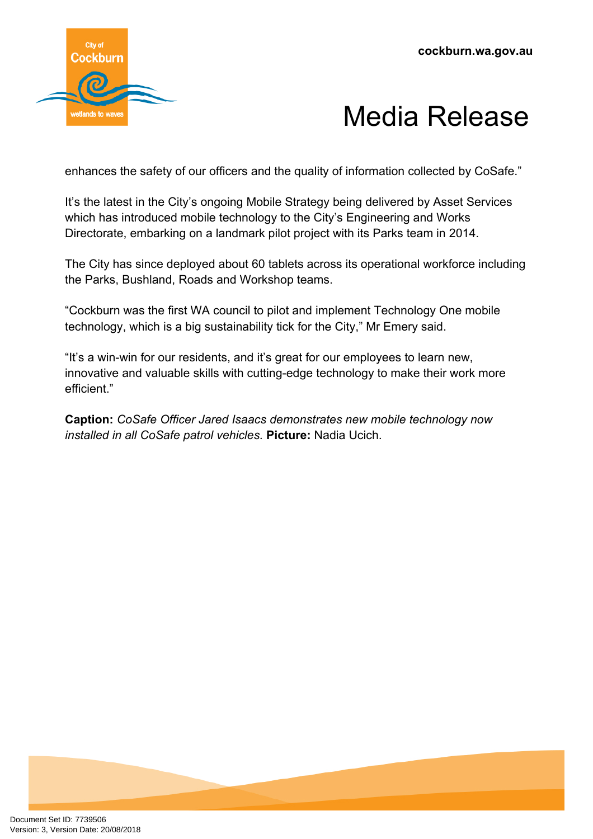

## Media Release

enhances the safety of our officers and the quality of information collected by CoSafe."

It's the latest in the City's ongoing Mobile Strategy being delivered by Asset Services which has introduced mobile technology to the City's Engineering and Works Directorate, embarking on a landmark pilot project with its Parks team in 2014.

The City has since deployed about 60 tablets across its operational workforce including the Parks, Bushland, Roads and Workshop teams.

"Cockburn was the first WA council to pilot and implement Technology One mobile technology, which is a big sustainability tick for the City," Mr Emery said.

"It's a win-win for our residents, and it's great for our employees to learn new, innovative and valuable skills with cutting-edge technology to make their work more efficient."

**Caption:** *CoSafe Officer Jared Isaacs demonstrates new mobile technology now installed in all CoSafe patrol vehicles.* **Picture:** Nadia Ucich.